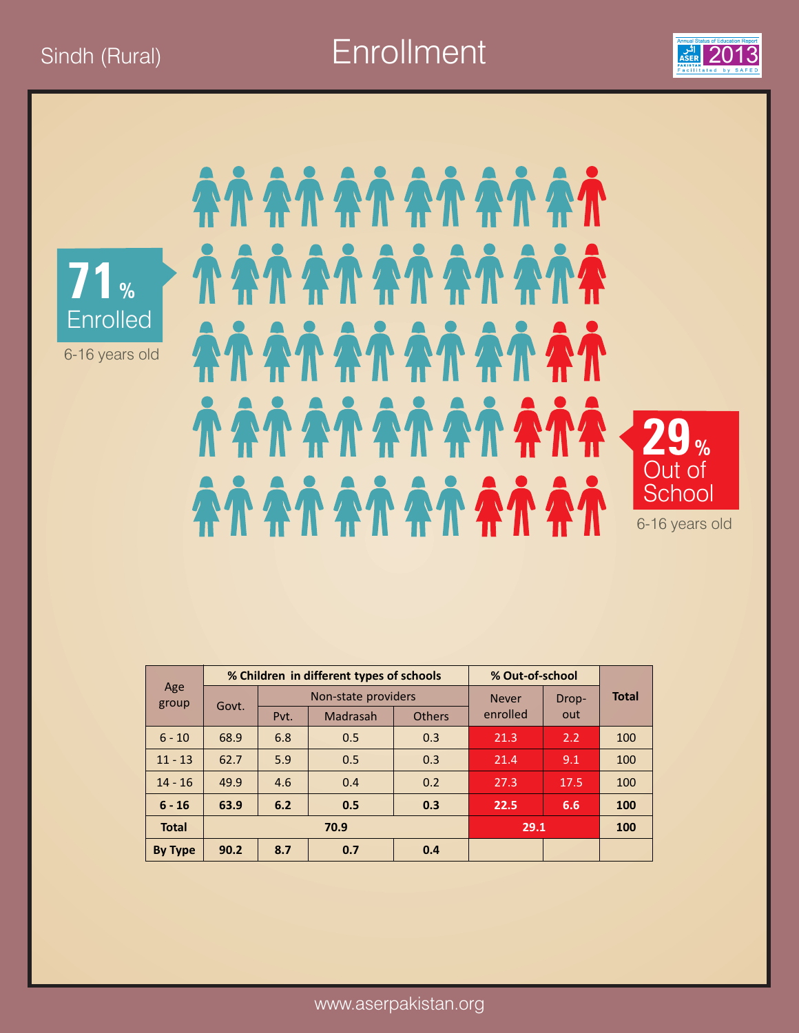Sindh (Rural) **Enrollment** 2013





AÑ AÑ AÑ AÑ AÑ AÑ *<i>NANANANANA* AÀ AÀ AÀ AÀ AÀ AÀ **TATATATATATA 29%**  Out of ÀN AN AN AN AN AN **School** 6-16 years old

| Age<br>group |       |      | % Children in different types of schools | % Out-of-school |              |       |              |  |  |
|--------------|-------|------|------------------------------------------|-----------------|--------------|-------|--------------|--|--|
|              |       |      | Non-state providers                      |                 | <b>Never</b> | Drop- | <b>Total</b> |  |  |
|              | Govt. | Pvt. | Madrasah                                 | <b>Others</b>   | enrolled     | out   |              |  |  |
| $6 - 10$     | 68.9  | 6.8  | 0.5                                      | 0.3             | 21.3         | 2.2   | 100          |  |  |
| $11 - 13$    | 62.7  | 5.9  | 0.5                                      | 0.3             | 21.4         | 9.1   | 100          |  |  |
| $14 - 16$    | 49.9  | 4.6  | 0.4                                      | 0.2             | 27.3         | 17.5  | 100          |  |  |
| $6 - 16$     | 63.9  | 6.2  | 0.5                                      | 0.3             | 22.5         | 6.6   | 100          |  |  |
| <b>Total</b> |       |      | 70.9                                     | 29.1            |              | 100   |              |  |  |
| By Type      | 90.2  | 8.7  | 0.7                                      | 0.4             |              |       |              |  |  |

www.aserpakistan.org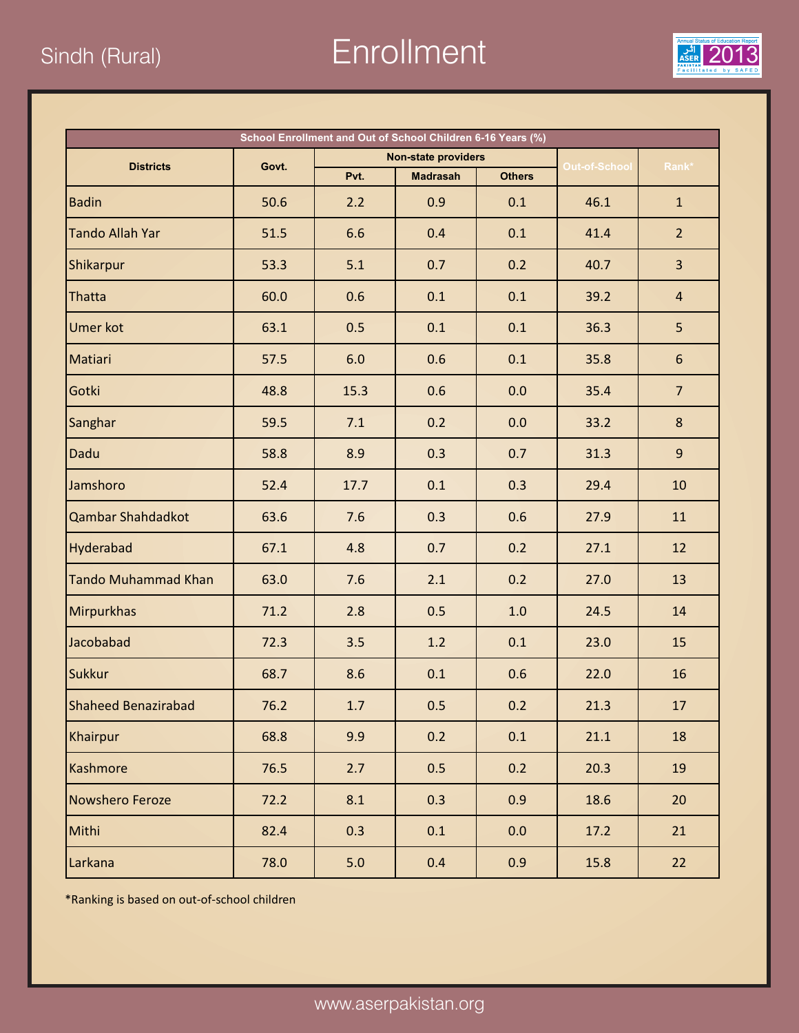Sindh (Rural) **Enrollment** 2013



| School Enrollment and Out of School Children 6-16 Years (%) |       |      |                            |               |               |                  |  |  |  |
|-------------------------------------------------------------|-------|------|----------------------------|---------------|---------------|------------------|--|--|--|
| <b>Districts</b>                                            | Govt. |      | <b>Non-state providers</b> |               | Out-of-School | Rank*            |  |  |  |
|                                                             |       | Pvt. | <b>Madrasah</b>            | <b>Others</b> |               |                  |  |  |  |
| <b>Badin</b>                                                | 50.6  | 2.2  | 0.9                        | 0.1           | 46.1          | $\mathbf{1}$     |  |  |  |
| <b>Tando Allah Yar</b>                                      | 51.5  | 6.6  | 0.4                        | 0.1           | 41.4          | 2 <sup>1</sup>   |  |  |  |
| Shikarpur                                                   | 53.3  | 5.1  | 0.7                        | 0.2           | 40.7          | $\overline{3}$   |  |  |  |
| Thatta                                                      | 60.0  | 0.6  | 0.1                        | 0.1           | 39.2          | $\overline{4}$   |  |  |  |
| <b>Umer kot</b>                                             | 63.1  | 0.5  | 0.1                        | 0.1           | 36.3          | 5                |  |  |  |
| Matiari                                                     | 57.5  | 6.0  | 0.6                        | 0.1           | 35.8          | $6 \overline{6}$ |  |  |  |
| Gotki                                                       | 48.8  | 15.3 | 0.6                        | 0.0           | 35.4          | $\overline{7}$   |  |  |  |
| Sanghar                                                     | 59.5  | 7.1  | 0.2                        | 0.0           | 33.2          | 8                |  |  |  |
| Dadu                                                        | 58.8  | 8.9  | 0.3                        | 0.7           | 31.3          | 9                |  |  |  |
| Jamshoro                                                    | 52.4  | 17.7 | 0.1                        | 0.3           | 29.4          | 10               |  |  |  |
| <b>Qambar Shahdadkot</b>                                    | 63.6  | 7.6  | 0.3                        | 0.6           | 27.9          | 11               |  |  |  |
| Hyderabad                                                   | 67.1  | 4.8  | 0.7                        | 0.2           | 27.1          | 12               |  |  |  |
| <b>Tando Muhammad Khan</b>                                  | 63.0  | 7.6  | 2.1                        | 0.2           | 27.0          | 13               |  |  |  |
| <b>Mirpurkhas</b>                                           | 71.2  | 2.8  | 0.5                        | 1.0           | 24.5          | 14               |  |  |  |
| Jacobabad                                                   | 72.3  | 3.5  | 1.2                        | 0.1           | 23.0          | 15               |  |  |  |
| <b>Sukkur</b>                                               | 68.7  | 8.6  | 0.1                        | 0.6           | 22.0          | 16               |  |  |  |
| Shaheed Benazirabad                                         | 76.2  | 1.7  | 0.5                        | 0.2           | 21.3          | $17\,$           |  |  |  |
| Khairpur                                                    | 68.8  | 9.9  | 0.2                        | 0.1           | 21.1          | 18               |  |  |  |
| Kashmore                                                    | 76.5  | 2.7  | 0.5                        | 0.2           | 20.3          | 19               |  |  |  |
| Nowshero Feroze                                             | 72.2  | 8.1  | 0.3                        | 0.9           | 18.6          | 20               |  |  |  |
| Mithi                                                       | 82.4  | 0.3  | 0.1                        | 0.0           | 17.2          | 21               |  |  |  |
| Larkana                                                     | 78.0  | 5.0  | 0.4                        | 0.9           | 15.8          | 22               |  |  |  |

\*Ranking is based on out-of-school children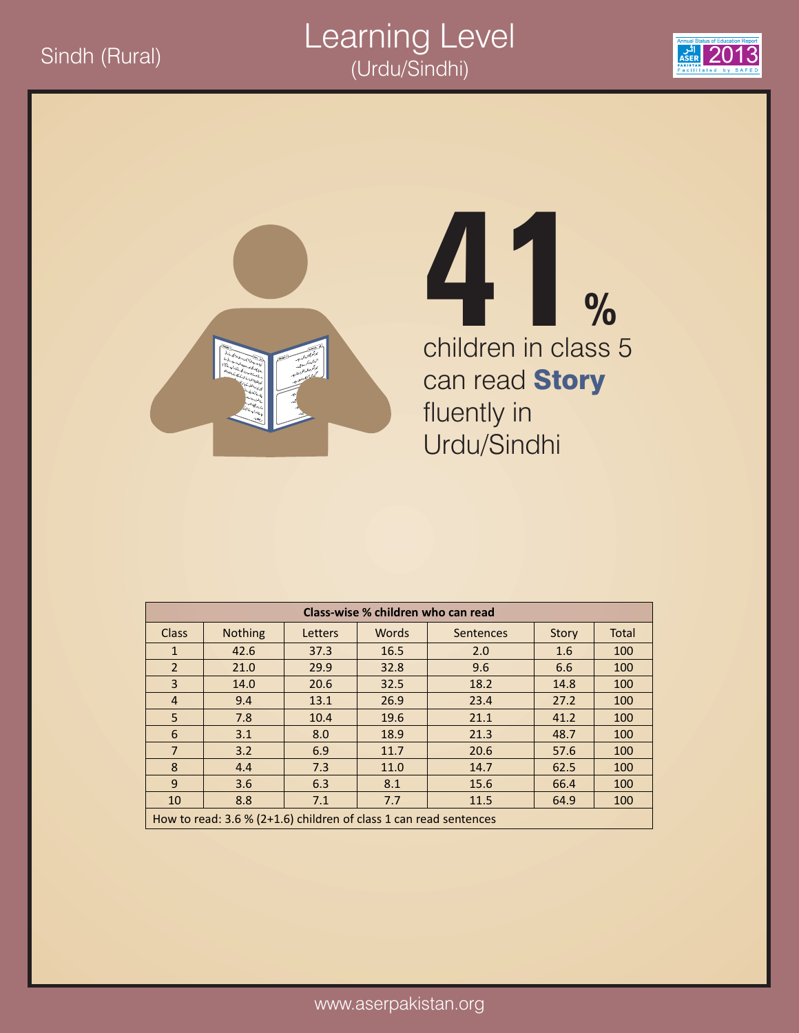#### $\frac{1}{\sqrt{2}}$ Sindh (Rural) 2013 Learning Level (Urdu/Sindhi)





## children in class 5 can read **Story** fluently in Urdu/Sindhi **41%**

|              | Class-wise % children who can read                                |         |              |           |       |              |  |  |  |  |
|--------------|-------------------------------------------------------------------|---------|--------------|-----------|-------|--------------|--|--|--|--|
| <b>Class</b> | <b>Nothing</b>                                                    | Letters | <b>Words</b> | Sentences | Story | <b>Total</b> |  |  |  |  |
| $\mathbf{1}$ | 42.6                                                              | 37.3    | 16.5         | 2.0       | 1.6   | 100          |  |  |  |  |
| 2            | 21.0                                                              | 29.9    | 32.8         | 9.6       | 6.6   | 100          |  |  |  |  |
| 3            | 14.0                                                              | 20.6    | 32.5         | 18.2      | 14.8  | 100          |  |  |  |  |
| 4            | 9.4                                                               | 13.1    | 26.9         | 23.4      | 27.2  | 100          |  |  |  |  |
| 5            | 7.8                                                               | 10.4    | 19.6         | 21.1      | 41.2  | 100          |  |  |  |  |
| 6            | 3.1                                                               | 8.0     | 18.9         | 21.3      | 48.7  | 100          |  |  |  |  |
| 7            | 3.2                                                               | 6.9     | 11.7         | 20.6      | 57.6  | 100          |  |  |  |  |
| 8            | 4.4                                                               | 7.3     | 11.0         | 14.7      | 62.5  | 100          |  |  |  |  |
| 9            | 3.6                                                               | 6.3     | 8.1          | 15.6      | 66.4  | 100          |  |  |  |  |
| 10           | 8.8                                                               | 7.1     | 7.7          | 11.5      | 64.9  | 100          |  |  |  |  |
|              | How to read: 3.6 % (2+1.6) children of class 1 can read sentences |         |              |           |       |              |  |  |  |  |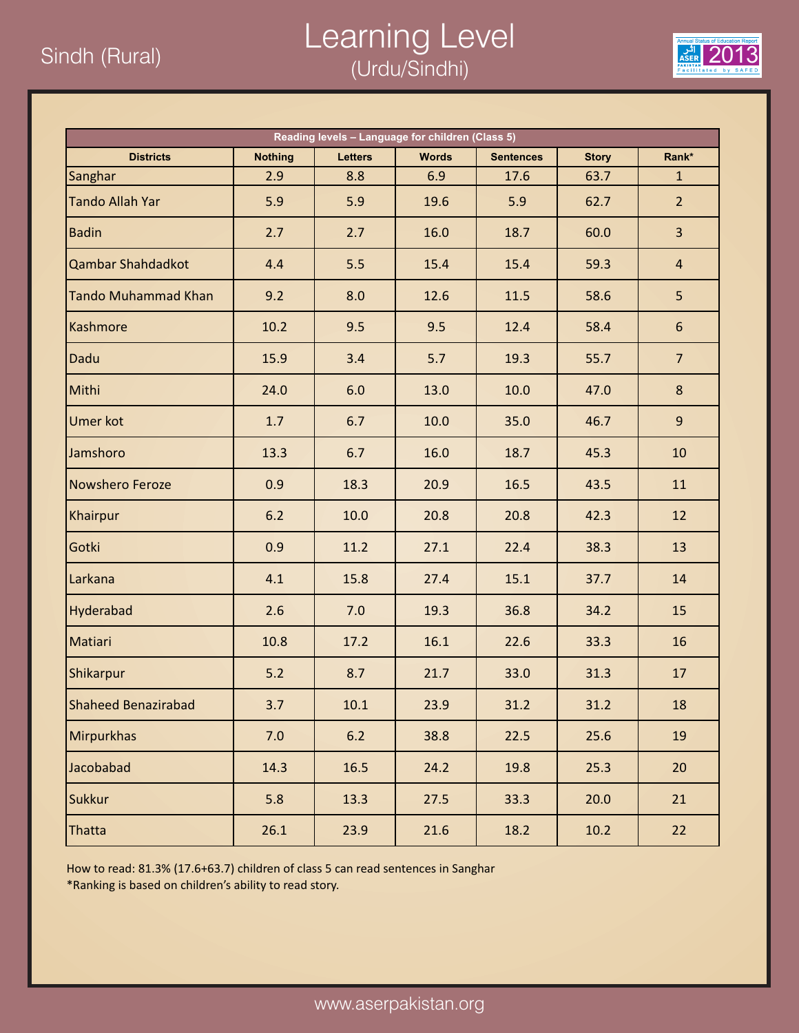#### $\frac{1}{\frac{1}{\sqrt{2}}}\frac{1}{\sqrt{2}}$   $\frac{1}{\sqrt{2}}$   $\frac{1}{\sqrt{2}}$   $\frac{1}{\sqrt{2}}$   $\frac{1}{\sqrt{2}}$   $\frac{1}{\sqrt{2}}$   $\frac{1}{\sqrt{2}}$   $\frac{1}{\sqrt{2}}$   $\frac{1}{\sqrt{2}}$   $\frac{1}{\sqrt{2}}$   $\frac{1}{\sqrt{2}}$   $\frac{1}{\sqrt{2}}$   $\frac{1}{\sqrt{2}}$   $\frac{1}{\sqrt{2}}$   $\frac{1}{\sqrt{2}}$   $\frac{1}{\sqrt{2}}$ Learning Level (Urdu/Sindhi)



| Reading levels - Language for children (Class 5) |                |                |              |                  |              |                 |  |  |
|--------------------------------------------------|----------------|----------------|--------------|------------------|--------------|-----------------|--|--|
| <b>Districts</b>                                 | <b>Nothing</b> | <b>Letters</b> | <b>Words</b> | <b>Sentences</b> | <b>Story</b> | Rank*           |  |  |
| Sanghar                                          | 2.9            | 8.8            | 6.9          | 17.6             | 63.7         | $\mathbf{1}$    |  |  |
| <b>Tando Allah Yar</b>                           | 5.9            | 5.9            | 19.6         | 5.9              | 62.7         | 2 <sup>1</sup>  |  |  |
| <b>Badin</b>                                     | 2.7            | 2.7            | 16.0         | 18.7             | 60.0         | $\overline{3}$  |  |  |
| <b>Qambar Shahdadkot</b>                         | 4.4            | 5.5            | 15.4         | 15.4             | 59.3         | $\overline{4}$  |  |  |
| <b>Tando Muhammad Khan</b>                       | 9.2            | 8.0            | 12.6         | 11.5             | 58.6         | 5               |  |  |
| Kashmore                                         | 10.2           | 9.5            | 9.5          | 12.4             | 58.4         | 6               |  |  |
| Dadu                                             | 15.9           | 3.4            | 5.7          | 19.3             | 55.7         | $7\overline{ }$ |  |  |
| Mithi                                            | 24.0           | 6.0            | 13.0         | 10.0             | 47.0         | 8               |  |  |
| <b>Umer kot</b>                                  | 1.7            | 6.7            | 10.0         | 35.0             | 46.7         | 9 <sup>°</sup>  |  |  |
| Jamshoro                                         | 13.3           | 6.7            | 16.0         | 18.7             | 45.3         | 10              |  |  |
| <b>Nowshero Feroze</b>                           | 0.9            | 18.3           | 20.9         | 16.5             | 43.5         | 11              |  |  |
| Khairpur                                         | 6.2            | 10.0           | 20.8         | 20.8             | 42.3         | 12              |  |  |
| Gotki                                            | 0.9            | 11.2           | 27.1         | 22.4             | 38.3         | 13              |  |  |
| Larkana                                          | 4.1            | 15.8           | 27.4         | 15.1             | 37.7         | 14              |  |  |
| Hyderabad                                        | 2.6            | 7.0            | 19.3         | 36.8             | 34.2         | 15              |  |  |
| Matiari                                          | 10.8           | 17.2           | 16.1         | 22.6             | 33.3         | 16              |  |  |
| Shikarpur                                        | $5.2$          | 8.7            | 21.7         | 33.0             | 31.3         | 17              |  |  |
| Shaheed Benazirabad                              | 3.7            | 10.1           | 23.9         | 31.2             | 31.2         | 18              |  |  |
| Mirpurkhas                                       | 7.0            | $6.2$          | 38.8         | 22.5             | 25.6         | 19              |  |  |
| Jacobabad                                        | 14.3           | 16.5           | 24.2         | 19.8             | 25.3         | 20              |  |  |
| <b>Sukkur</b>                                    | 5.8            | 13.3           | 27.5         | 33.3             | 20.0         | 21              |  |  |
| Thatta                                           | 26.1           | 23.9           | 21.6         | 18.2             | 10.2         | 22              |  |  |

How to read: 81.3% (17.6+63.7) children of class 5 can read sentences in Sanghar

\*Ranking is based on children's ability to read story.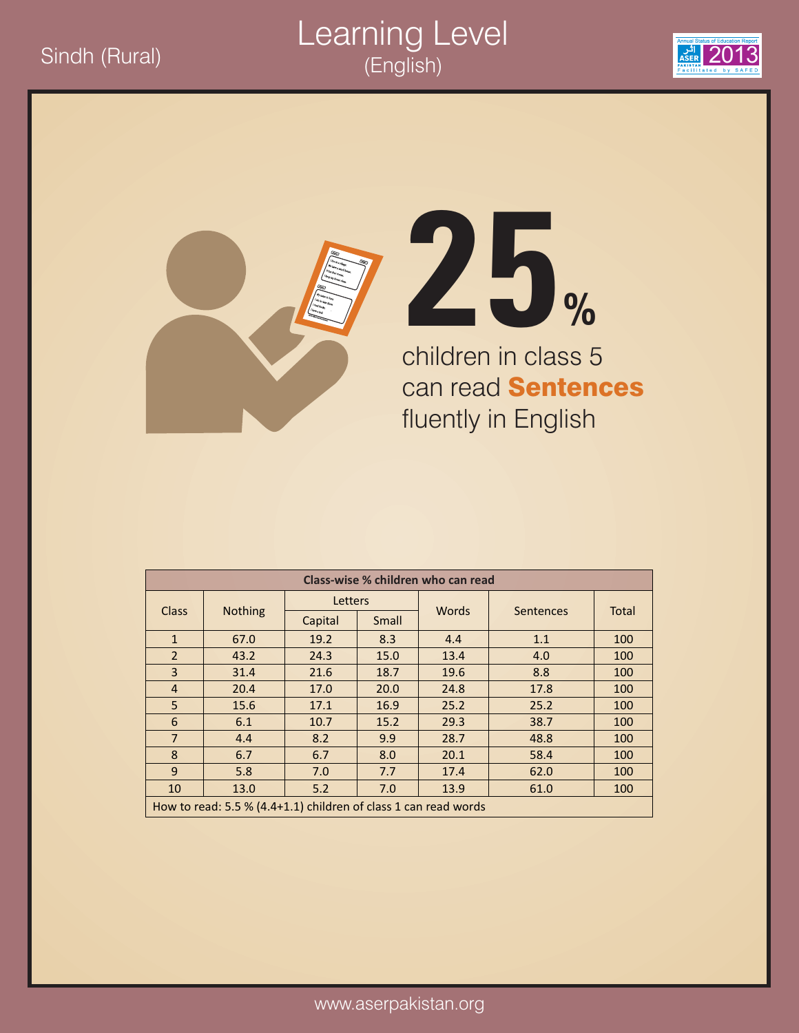#### Sindh (Rural) 2013 Learning Level (English)







children in class 5 can read **Sentences** fluently in English

| Class-wise % children who can read |                                                                 |         |       |       |                  |              |  |  |  |
|------------------------------------|-----------------------------------------------------------------|---------|-------|-------|------------------|--------------|--|--|--|
|                                    |                                                                 | Letters |       | Words |                  | <b>Total</b> |  |  |  |
| <b>Class</b>                       | <b>Nothing</b>                                                  | Capital | Small |       | <b>Sentences</b> |              |  |  |  |
| $\mathbf{1}$                       | 67.0                                                            | 19.2    | 8.3   | 4.4   | 1.1              | 100          |  |  |  |
| $\overline{2}$                     | 43.2                                                            | 24.3    | 15.0  | 13.4  | 4.0              | 100          |  |  |  |
| $\overline{3}$                     | 31.4                                                            | 21.6    | 18.7  | 19.6  | 8.8              | 100          |  |  |  |
| $\overline{4}$                     | 20.4                                                            | 17.0    | 20.0  | 24.8  | 17.8             | 100          |  |  |  |
| 5                                  | 15.6                                                            | 17.1    | 16.9  | 25.2  | 25.2             | 100          |  |  |  |
| 6                                  | 6.1                                                             | 10.7    | 15.2  | 29.3  | 38.7             | 100          |  |  |  |
| $\overline{7}$                     | 4.4                                                             | 8.2     | 9.9   | 28.7  | 48.8             | 100          |  |  |  |
| 8                                  | 6.7                                                             | 6.7     | 8.0   | 20.1  | 58.4             | 100          |  |  |  |
| 9                                  | 5.8                                                             | 7.0     | 7.7   | 17.4  | 62.0             | 100          |  |  |  |
| 10                                 | 13.0                                                            | 5.2     | 7.0   | 13.9  | 61.0             | 100          |  |  |  |
|                                    | How to read: 5.5 % (4.4+1.1) children of class 1 can read words |         |       |       |                  |              |  |  |  |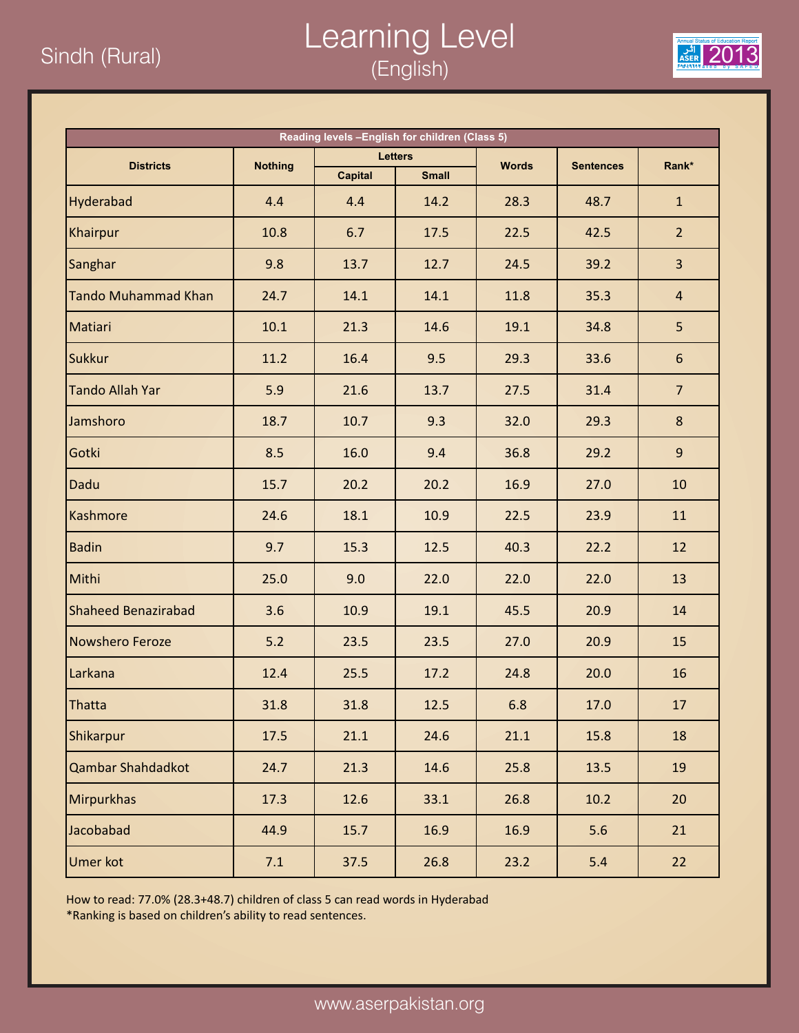### $\frac{2013}{\frac{304}{2013}}$  2013 Learning Level (English)



| Reading levels -English for children (Class 5) |                |                |                |              |                  |                |  |  |
|------------------------------------------------|----------------|----------------|----------------|--------------|------------------|----------------|--|--|
| <b>Districts</b>                               | <b>Nothing</b> |                | <b>Letters</b> | <b>Words</b> | <b>Sentences</b> | Rank*          |  |  |
|                                                |                | <b>Capital</b> | <b>Small</b>   |              |                  |                |  |  |
| Hyderabad                                      | 4.4            | 4.4            | 14.2           | 28.3         | 48.7             | $\mathbf{1}$   |  |  |
| Khairpur                                       | 10.8           | 6.7            | 17.5           | 22.5         | 42.5             | $\overline{2}$ |  |  |
| Sanghar                                        | 9.8            | 13.7           | 12.7           | 24.5         | 39.2             | $\overline{3}$ |  |  |
| <b>Tando Muhammad Khan</b>                     | 24.7           | 14.1           | 14.1           | 11.8         | 35.3             | $\overline{4}$ |  |  |
| Matiari                                        | 10.1           | 21.3           | 14.6           | 19.1         | 34.8             | 5              |  |  |
| <b>Sukkur</b>                                  | 11.2           | 16.4           | 9.5            | 29.3         | 33.6             | 6              |  |  |
| <b>Tando Allah Yar</b>                         | 5.9            | 21.6           | 13.7           | 27.5         | 31.4             | $\overline{7}$ |  |  |
| Jamshoro                                       | 18.7           | 10.7           | 9.3            | 32.0         | 29.3             | 8              |  |  |
| Gotki                                          | 8.5            | 16.0           | 9.4            | 36.8         | 29.2             | 9              |  |  |
| Dadu                                           | 15.7           | 20.2           | 20.2           | 16.9         | 27.0             | 10             |  |  |
| Kashmore                                       | 24.6           | 18.1           | 10.9           | 22.5         | 23.9             | 11             |  |  |
| <b>Badin</b>                                   | 9.7            | 15.3           | 12.5           | 40.3         | 22.2             | 12             |  |  |
| Mithi                                          | 25.0           | 9.0            | 22.0           | 22.0         | 22.0             | 13             |  |  |
| <b>Shaheed Benazirabad</b>                     | 3.6            | 10.9           | 19.1           | 45.5         | 20.9             | 14             |  |  |
| Nowshero Feroze                                | $5.2$          | 23.5           | 23.5           | 27.0         | 20.9             | 15             |  |  |
| Larkana                                        | 12.4           | 25.5           | 17.2           | 24.8         | 20.0             | 16             |  |  |
| Thatta                                         | 31.8           | 31.8           | 12.5           | 6.8          | 17.0             | 17             |  |  |
| Shikarpur                                      | 17.5           | 21.1           | 24.6           | 21.1         | 15.8             | 18             |  |  |
| Qambar Shahdadkot                              | 24.7           | 21.3           | 14.6           | 25.8         | 13.5             | 19             |  |  |
| Mirpurkhas                                     | 17.3           | 12.6           | 33.1           | 26.8         | 10.2             | 20             |  |  |
| Jacobabad                                      | 44.9           | 15.7           | 16.9           | 16.9         | 5.6              | 21             |  |  |
| <b>Umer kot</b>                                | 7.1            | 37.5           | 26.8           | 23.2         | $5.4$            | 22             |  |  |

How to read: 77.0% (28.3+48.7) children of class 5 can read words in Hyderabad

\*Ranking is based on children's ability to read sentences.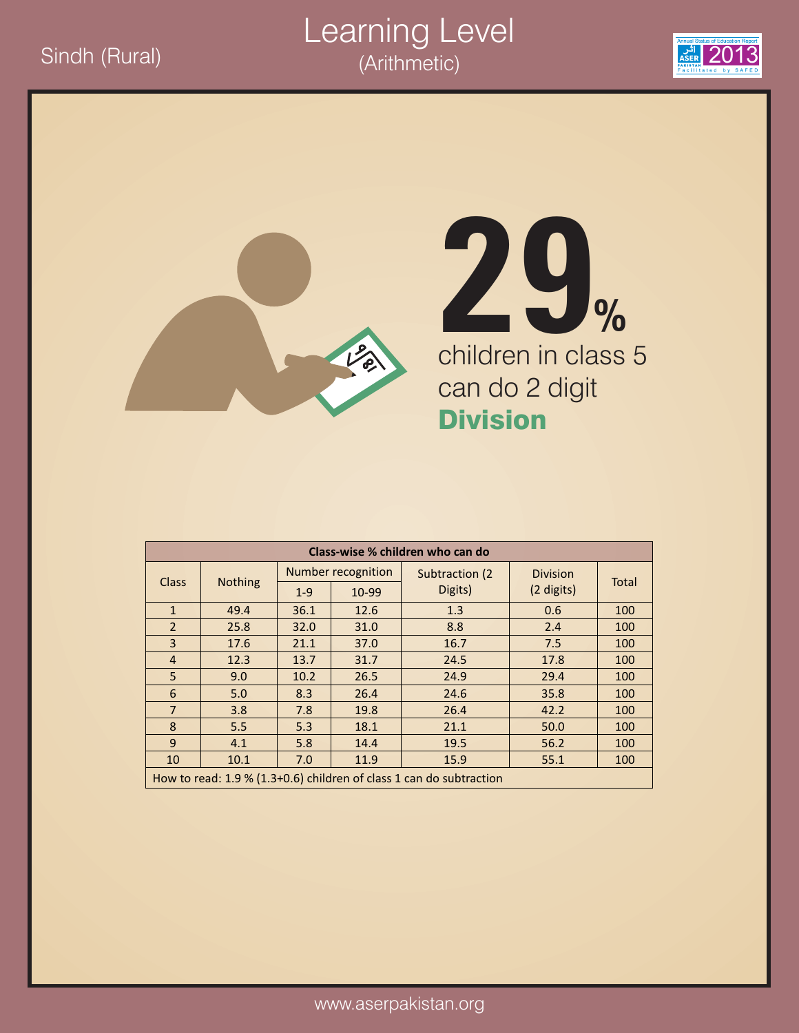



# children in class 5 can do 2 digit Division **29%**

| Class-wise % children who can do |                |       |                    |                                                                       |                 |              |  |  |  |
|----------------------------------|----------------|-------|--------------------|-----------------------------------------------------------------------|-----------------|--------------|--|--|--|
| <b>Class</b>                     | <b>Nothing</b> |       | Number recognition | Subtraction (2)                                                       | <b>Division</b> | <b>Total</b> |  |  |  |
|                                  |                | $1-9$ | 10-99              | Digits)                                                               | (2 digits)      |              |  |  |  |
| $\mathbf{1}$                     | 49.4           | 36.1  | 12.6               | 1.3                                                                   | 0.6             | 100          |  |  |  |
| $\overline{2}$                   | 25.8           | 32.0  | 31.0               | 8.8                                                                   | 2.4             | 100          |  |  |  |
| $\overline{3}$                   | 17.6           | 21.1  | 37.0               | 16.7                                                                  | 7.5             | 100          |  |  |  |
| $\overline{4}$                   | 12.3           | 13.7  | 31.7               | 24.5                                                                  | 17.8            | 100          |  |  |  |
| 5                                | 9.0            | 10.2  | 26.5               | 24.9                                                                  | 29.4            | 100          |  |  |  |
| 6                                | 5.0            | 8.3   | 26.4               | 24.6                                                                  | 35.8            | 100          |  |  |  |
| $\overline{7}$                   | 3.8            | 7.8   | 19.8               | 26.4                                                                  | 42.2            | 100          |  |  |  |
| 8                                | 5.5            | 5.3   | 18.1               | 21.1                                                                  | 50.0            | 100          |  |  |  |
| 9                                | 4.1            | 5.8   | 14.4               | 19.5                                                                  | 56.2            | 100          |  |  |  |
| 10                               | 10.1           | 7.0   | 11.9               | 15.9                                                                  | 55.1            | 100          |  |  |  |
|                                  |                |       |                    | How to read: $1.9\%$ (1.3+0.6) children of class 1 can do subtraction |                 |              |  |  |  |

Learning Level

(Arithmetic)